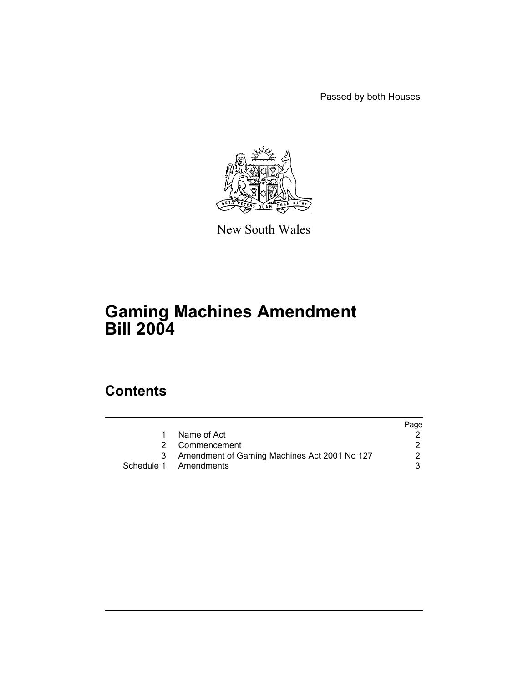Passed by both Houses



New South Wales

# **Gaming Machines Amendment Bill 2004**

# **Contents**

| Page |
|------|
|      |
|      |
|      |
|      |
|      |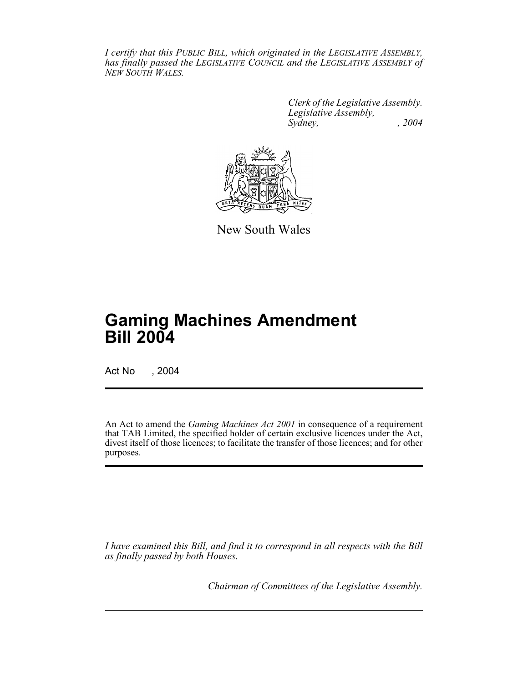*I certify that this PUBLIC BILL, which originated in the LEGISLATIVE ASSEMBLY, has finally passed the LEGISLATIVE COUNCIL and the LEGISLATIVE ASSEMBLY of NEW SOUTH WALES.*

> *Clerk of the Legislative Assembly. Legislative Assembly, Sydney, , 2004*



New South Wales

# **Gaming Machines Amendment Bill 2004**

Act No , 2004

An Act to amend the *Gaming Machines Act 2001* in consequence of a requirement that TAB Limited, the specified holder of certain exclusive licences under the Act, divest itself of those licences; to facilitate the transfer of those licences; and for other purposes.

*I have examined this Bill, and find it to correspond in all respects with the Bill as finally passed by both Houses.*

*Chairman of Committees of the Legislative Assembly.*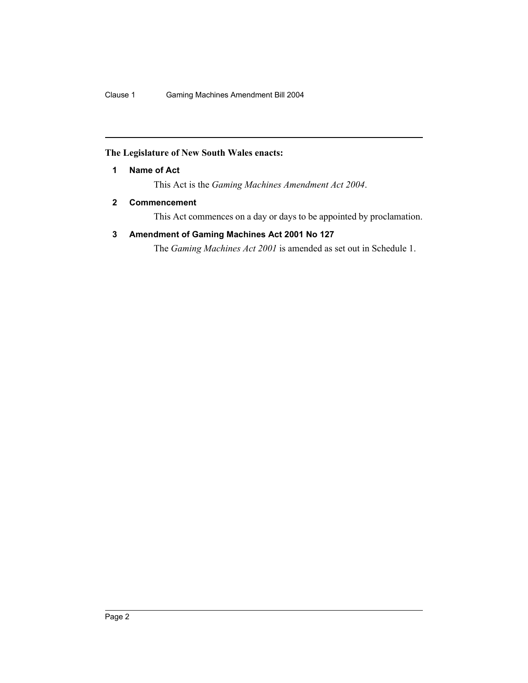# **The Legislature of New South Wales enacts:**

**1 Name of Act**

This Act is the *Gaming Machines Amendment Act 2004*.

# **2 Commencement**

This Act commences on a day or days to be appointed by proclamation.

# **3 Amendment of Gaming Machines Act 2001 No 127**

The *Gaming Machines Act 2001* is amended as set out in Schedule 1.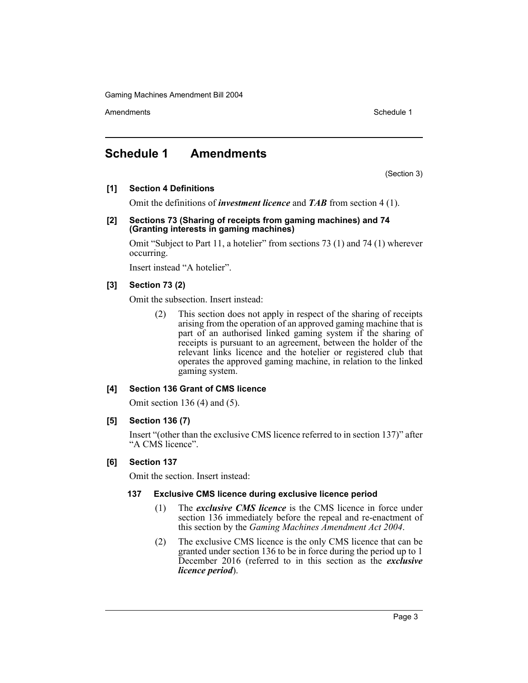Amendments **Amendments** Schedule 1

# **Schedule 1 Amendments**

(Section 3)

# **[1] Section 4 Definitions**

Omit the definitions of *investment licence* and *TAB* from section 4 (1).

### **[2] Sections 73 (Sharing of receipts from gaming machines) and 74 (Granting interests in gaming machines)**

Omit "Subject to Part 11, a hotelier" from sections 73 (1) and 74 (1) wherever occurring.

Insert instead "A hotelier".

# **[3] Section 73 (2)**

Omit the subsection. Insert instead:

(2) This section does not apply in respect of the sharing of receipts arising from the operation of an approved gaming machine that is part of an authorised linked gaming system if the sharing of receipts is pursuant to an agreement, between the holder of the relevant links licence and the hotelier or registered club that operates the approved gaming machine, in relation to the linked gaming system.

# **[4] Section 136 Grant of CMS licence**

Omit section 136 (4) and (5).

# **[5] Section 136 (7)**

Insert "(other than the exclusive CMS licence referred to in section 137)" after "A CMS licence".

# **[6] Section 137**

Omit the section. Insert instead:

# **137 Exclusive CMS licence during exclusive licence period**

- (1) The *exclusive CMS licence* is the CMS licence in force under section 136 immediately before the repeal and re-enactment of this section by the *Gaming Machines Amendment Act 2004*.
- (2) The exclusive CMS licence is the only CMS licence that can be granted under section 136 to be in force during the period up to 1 December 2016 (referred to in this section as the *exclusive licence period*).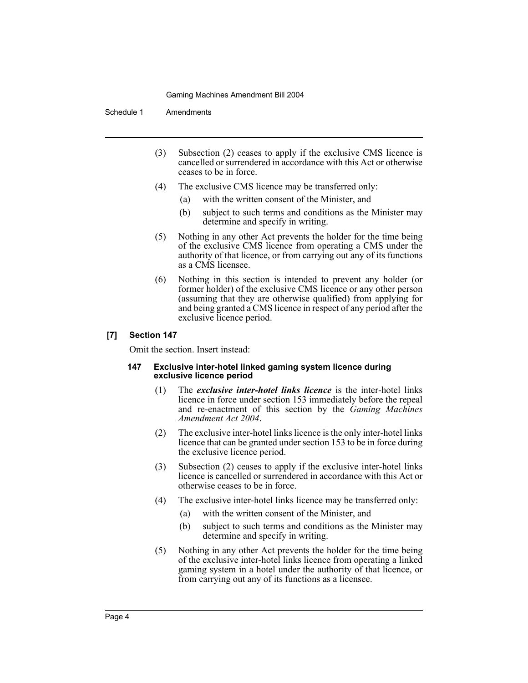Schedule 1 Amendments

- (3) Subsection (2) ceases to apply if the exclusive CMS licence is cancelled or surrendered in accordance with this Act or otherwise ceases to be in force.
- (4) The exclusive CMS licence may be transferred only:
	- (a) with the written consent of the Minister, and
	- (b) subject to such terms and conditions as the Minister may determine and specify in writing.
- (5) Nothing in any other Act prevents the holder for the time being of the exclusive CMS licence from operating a CMS under the authority of that licence, or from carrying out any of its functions as a CMS licensee.
- (6) Nothing in this section is intended to prevent any holder (or former holder) of the exclusive CMS licence or any other person (assuming that they are otherwise qualified) from applying for and being granted a CMS licence in respect of any period after the exclusive licence period.

#### **[7] Section 147**

Omit the section. Insert instead:

#### **147 Exclusive inter-hotel linked gaming system licence during exclusive licence period**

- (1) The *exclusive inter-hotel links licence* is the inter-hotel links licence in force under section 153 immediately before the repeal and re-enactment of this section by the *Gaming Machines Amendment Act 2004*.
- (2) The exclusive inter-hotel links licence is the only inter-hotel links licence that can be granted under section 153 to be in force during the exclusive licence period.
- (3) Subsection (2) ceases to apply if the exclusive inter-hotel links licence is cancelled or surrendered in accordance with this Act or otherwise ceases to be in force.
- (4) The exclusive inter-hotel links licence may be transferred only:
	- (a) with the written consent of the Minister, and
	- (b) subject to such terms and conditions as the Minister may determine and specify in writing.
- (5) Nothing in any other Act prevents the holder for the time being of the exclusive inter-hotel links licence from operating a linked gaming system in a hotel under the authority of that licence, or from carrying out any of its functions as a licensee.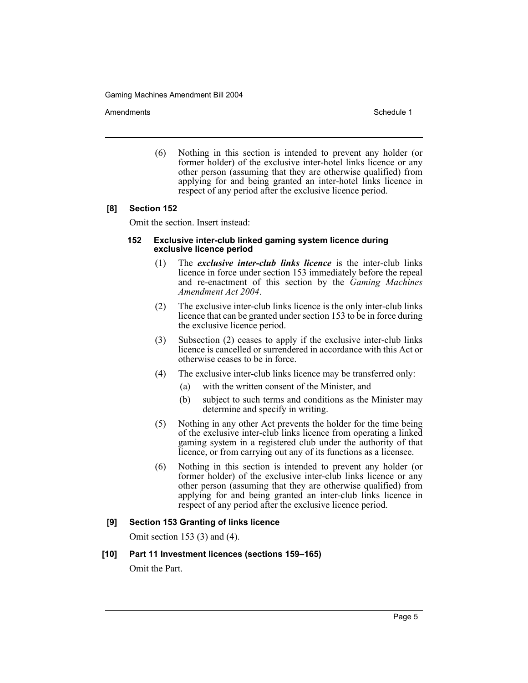Amendments **Amendments** Schedule 1

(6) Nothing in this section is intended to prevent any holder (or former holder) of the exclusive inter-hotel links licence or any other person (assuming that they are otherwise qualified) from applying for and being granted an inter-hotel links licence in respect of any period after the exclusive licence period.

## **[8] Section 152**

Omit the section. Insert instead:

#### **152 Exclusive inter-club linked gaming system licence during exclusive licence period**

- (1) The *exclusive inter-club links licence* is the inter-club links licence in force under section 153 immediately before the repeal and re-enactment of this section by the *Gaming Machines Amendment Act 2004*.
- (2) The exclusive inter-club links licence is the only inter-club links licence that can be granted under section 153 to be in force during the exclusive licence period.
- (3) Subsection (2) ceases to apply if the exclusive inter-club links licence is cancelled or surrendered in accordance with this Act or otherwise ceases to be in force.
- (4) The exclusive inter-club links licence may be transferred only:
	- (a) with the written consent of the Minister, and
	- (b) subject to such terms and conditions as the Minister may determine and specify in writing.
- (5) Nothing in any other Act prevents the holder for the time being of the exclusive inter-club links licence from operating a linked gaming system in a registered club under the authority of that licence, or from carrying out any of its functions as a licensee.
- (6) Nothing in this section is intended to prevent any holder (or former holder) of the exclusive inter-club links licence or any other person (assuming that they are otherwise qualified) from applying for and being granted an inter-club links licence in respect of any period after the exclusive licence period.

# **[9] Section 153 Granting of links licence**

Omit section 153 (3) and (4).

#### **[10] Part 11 Investment licences (sections 159–165)**

Omit the Part.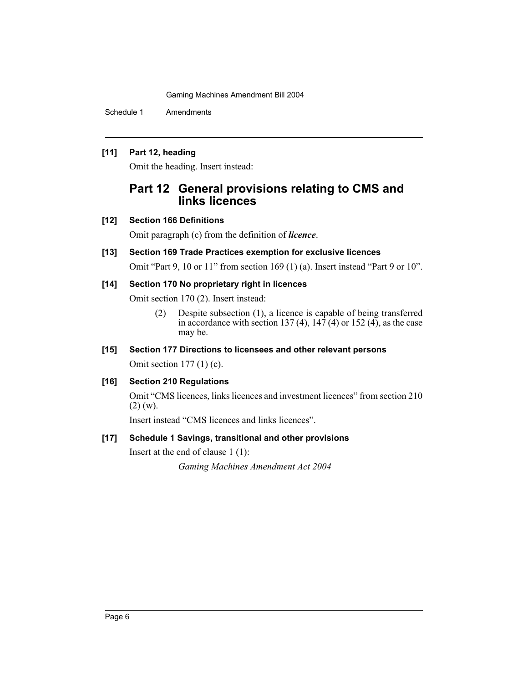Schedule 1 Amendments

## **[11] Part 12, heading**

Omit the heading. Insert instead:

# **Part 12 General provisions relating to CMS and links licences**

# **[12] Section 166 Definitions**

Omit paragraph (c) from the definition of *licence*.

# **[13] Section 169 Trade Practices exemption for exclusive licences**

Omit "Part 9, 10 or 11" from section 169 (1) (a). Insert instead "Part 9 or 10".

## **[14] Section 170 No proprietary right in licences**

Omit section 170 (2). Insert instead:

(2) Despite subsection (1), a licence is capable of being transferred in accordance with section 137 (4),  $14\overline{7}$  (4) or 152 (4), as the case may be.

## **[15] Section 177 Directions to licensees and other relevant persons**

Omit section 177 (1) (c).

# **[16] Section 210 Regulations**

Omit "CMS licences, links licences and investment licences" from section 210  $(2)$  (w).

Insert instead "CMS licences and links licences".

# **[17] Schedule 1 Savings, transitional and other provisions**

Insert at the end of clause 1 (1):

*Gaming Machines Amendment Act 2004*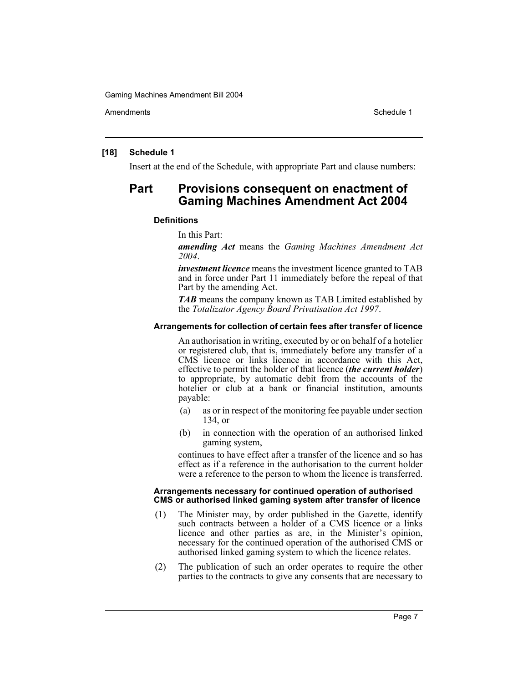Amendments **Schedule 1** and the set of the set of the set of the set of the set of the set of the set of the set of the set of the set of the set of the set of the set of the set of the set of the set of the set of the set

#### **[18] Schedule 1**

Insert at the end of the Schedule, with appropriate Part and clause numbers:

# **Part Provisions consequent on enactment of Gaming Machines Amendment Act 2004**

#### **Definitions**

In this Part:

*amending Act* means the *Gaming Machines Amendment Act 2004*.

*investment licence* means the investment licence granted to TAB and in force under Part 11 immediately before the repeal of that Part by the amending Act.

*TAB* means the company known as TAB Limited established by the *Totalizator Agency Board Privatisation Act 1997*.

#### **Arrangements for collection of certain fees after transfer of licence**

An authorisation in writing, executed by or on behalf of a hotelier or registered club, that is, immediately before any transfer of a CMS licence or links licence in accordance with this Act, effective to permit the holder of that licence (*the current holder*) to appropriate, by automatic debit from the accounts of the hotelier or club at a bank or financial institution, amounts payable:

- (a) as or in respect of the monitoring fee payable under section 134, or
- (b) in connection with the operation of an authorised linked gaming system,

continues to have effect after a transfer of the licence and so has effect as if a reference in the authorisation to the current holder were a reference to the person to whom the licence is transferred.

#### **Arrangements necessary for continued operation of authorised CMS or authorised linked gaming system after transfer of licence**

- (1) The Minister may, by order published in the Gazette, identify such contracts between a holder of a CMS licence or a links licence and other parties as are, in the Minister's opinion, necessary for the continued operation of the authorised CMS or authorised linked gaming system to which the licence relates.
- (2) The publication of such an order operates to require the other parties to the contracts to give any consents that are necessary to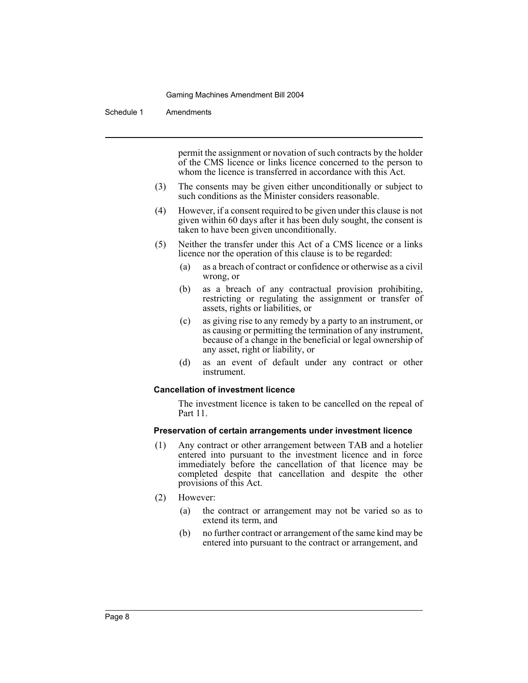Schedule 1 Amendments

permit the assignment or novation of such contracts by the holder of the CMS licence or links licence concerned to the person to whom the licence is transferred in accordance with this Act.

- (3) The consents may be given either unconditionally or subject to such conditions as the Minister considers reasonable.
- (4) However, if a consent required to be given under this clause is not given within 60 days after it has been duly sought, the consent is taken to have been given unconditionally.
- (5) Neither the transfer under this Act of a CMS licence or a links licence nor the operation of this clause is to be regarded:
	- (a) as a breach of contract or confidence or otherwise as a civil wrong, or
	- (b) as a breach of any contractual provision prohibiting, restricting or regulating the assignment or transfer of assets, rights or liabilities, or
	- (c) as giving rise to any remedy by a party to an instrument, or as causing or permitting the termination of any instrument, because of a change in the beneficial or legal ownership of any asset, right or liability, or
	- (d) as an event of default under any contract or other instrument.

#### **Cancellation of investment licence**

The investment licence is taken to be cancelled on the repeal of Part 11.

#### **Preservation of certain arrangements under investment licence**

- (1) Any contract or other arrangement between TAB and a hotelier entered into pursuant to the investment licence and in force immediately before the cancellation of that licence may be completed despite that cancellation and despite the other provisions of this Act.
- (2) However:
	- (a) the contract or arrangement may not be varied so as to extend its term, and
	- (b) no further contract or arrangement of the same kind may be entered into pursuant to the contract or arrangement, and